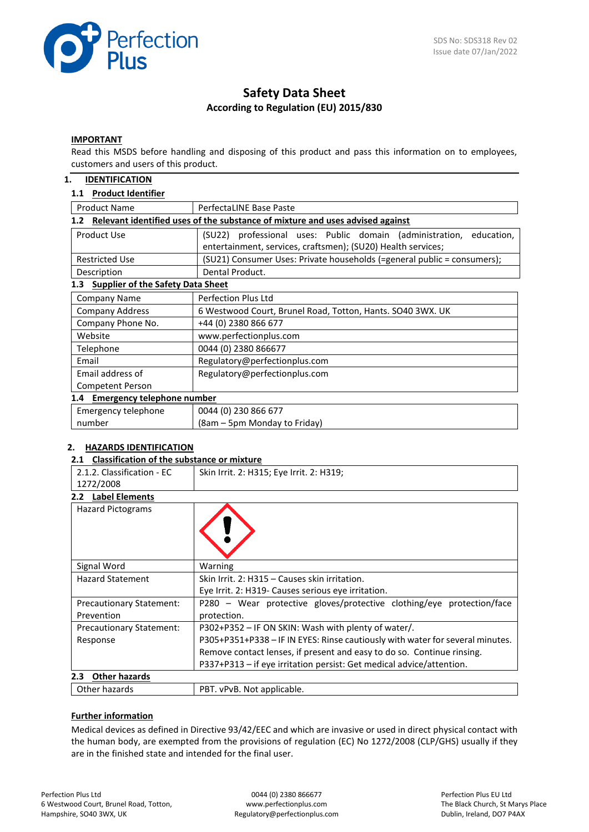

# **Safety Data Sheet According to Regulation (EU) 2015/830**

#### **IMPORTANT**

Read this MSDS before handling and disposing of this product and pass this information on to employees, customers and users of this product.

#### **1. IDENTIFICATION**

## **1.1 Product Identifier**

| <b>Product Name</b>                                                                  | PerfectaLINE Base Paste                                                                                                                |  |  |  |
|--------------------------------------------------------------------------------------|----------------------------------------------------------------------------------------------------------------------------------------|--|--|--|
| Relevant identified uses of the substance of mixture and uses advised against<br>1.2 |                                                                                                                                        |  |  |  |
| Product Use                                                                          | (SU22) professional uses: Public domain (administration,<br>education,<br>entertainment, services, craftsmen); (SU20) Health services; |  |  |  |
| <b>Restricted Use</b>                                                                | (SU21) Consumer Uses: Private households (=general public = consumers);                                                                |  |  |  |
| Description                                                                          | Dental Product.                                                                                                                        |  |  |  |
| <b>Supplier of the Safety Data Sheet</b><br>1.3                                      |                                                                                                                                        |  |  |  |
| <b>Company Name</b>                                                                  | Perfection Plus Ltd                                                                                                                    |  |  |  |
| Company Address                                                                      | 6 Westwood Court, Brunel Road, Totton, Hants. SO40 3WX. UK                                                                             |  |  |  |
| Company Phone No.                                                                    | +44 (0) 2380 866 677                                                                                                                   |  |  |  |
| Website                                                                              | www.perfectionplus.com                                                                                                                 |  |  |  |
| Telephone                                                                            | 0044 (0) 2380 866677                                                                                                                   |  |  |  |
| Email                                                                                | Regulatory@perfectionplus.com                                                                                                          |  |  |  |
| Email address of                                                                     | Regulatory@perfectionplus.com                                                                                                          |  |  |  |
| Competent Person                                                                     |                                                                                                                                        |  |  |  |
| 1.4 Emergency telephone number                                                       |                                                                                                                                        |  |  |  |
| Emergency telephone                                                                  | 0044 (0) 230 866 677                                                                                                                   |  |  |  |
| number                                                                               | (8am – 5pm Monday to Friday)                                                                                                           |  |  |  |

#### **2. HAZARDS IDENTIFICATION**

#### **2.1 Classification of the substance or mixture**

| 2.1.2. Classification - EC        | Skin Irrit. 2: H315; Eye Irrit. 2: H319;                                      |
|-----------------------------------|-------------------------------------------------------------------------------|
| 1272/2008                         |                                                                               |
| 2.2 Label Elements                |                                                                               |
| <b>Hazard Pictograms</b>          |                                                                               |
| Signal Word                       | Warning                                                                       |
| <b>Hazard Statement</b>           | Skin Irrit. 2: H315 - Causes skin irritation.                                 |
|                                   | Eye Irrit. 2: H319 - Causes serious eye irritation.                           |
| <b>Precautionary Statement:</b>   | P280 - Wear protective gloves/protective clothing/eye protection/face         |
| Prevention                        | protection.                                                                   |
| <b>Precautionary Statement:</b>   | P302+P352 - IF ON SKIN: Wash with plenty of water/.                           |
| Response                          | P305+P351+P338 - IF IN EYES: Rinse cautiously with water for several minutes. |
|                                   | Remove contact lenses, if present and easy to do so. Continue rinsing.        |
|                                   | P337+P313 - if eye irritation persist: Get medical advice/attention.          |
| Other hazards<br>$2.3\phantom{0}$ |                                                                               |
| Other hazards                     | PBT. vPvB. Not applicable.                                                    |

#### **Further information**

Medical devices as defined in Directive 93/42/EEC and which are invasive or used in direct physical contact with the human body, are exempted from the provisions of regulation (EC) No 1272/2008 (CLP/GHS) usually if they are in the finished state and intended for the final user.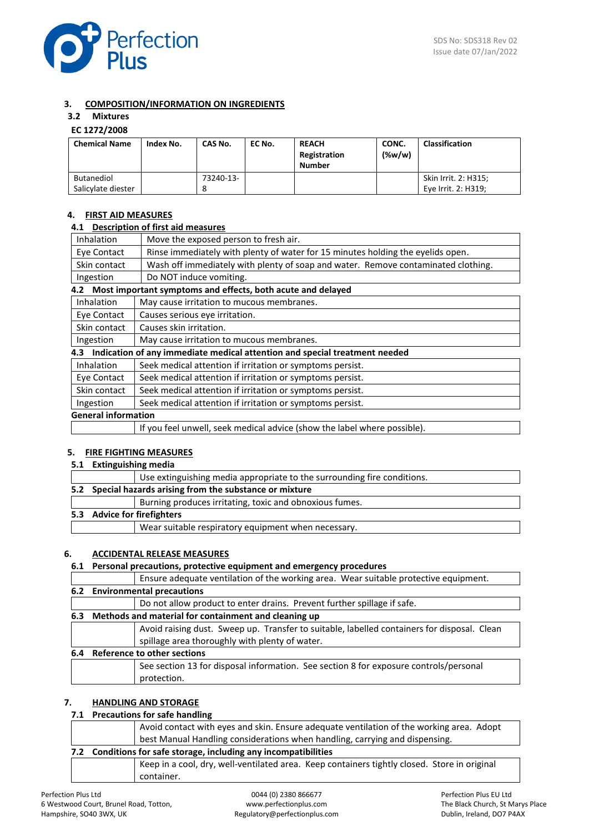

## **3. COMPOSITION/INFORMATION ON INGREDIENTS**

## **3.2 Mixtures**

## **EC 1272/2008**

| <b>Chemical Name</b>                    | Index No. | CAS No.   | EC No. | <b>REACH</b><br>Registration<br><b>Number</b> | CONC.<br>$(\%w/w)$ | <b>Classification</b>                       |
|-----------------------------------------|-----------|-----------|--------|-----------------------------------------------|--------------------|---------------------------------------------|
| <b>Butanediol</b><br>Salicylate diester |           | 73240-13- |        |                                               |                    | Skin Irrit. 2: H315;<br>Eye Irrit. 2: H319; |

## **4. FIRST AID MEASURES**

#### **4.1 Description of first aid measures**

| Inhalation                                                             | Move the exposed person to fresh air.                                             |
|------------------------------------------------------------------------|-----------------------------------------------------------------------------------|
| Eye Contact                                                            | Rinse immediately with plenty of water for 15 minutes holding the eyelids open.   |
| Skin contact                                                           | Wash off immediately with plenty of soap and water. Remove contaminated clothing. |
| Ingestion                                                              | Do NOT induce vomiting.                                                           |
| Most important symptoms and effects, both acute and delayed<br>4.2     |                                                                                   |
| Inhalation                                                             | May cause irritation to mucous membranes.                                         |
| Eye Contact                                                            | Causes serious eye irritation.                                                    |
| Skin contact                                                           | Causes skin irritation.                                                           |
| May cause irritation to mucous membranes.<br>Ingestion                 |                                                                                   |
| 4.3                                                                    | Indication of any immediate medical attention and special treatment needed        |
| <b>Inhalation</b>                                                      | Seek medical attention if irritation or symptoms persist.                         |
| Eye Contact                                                            | Seek medical attention if irritation or symptoms persist.                         |
| Skin contact                                                           | Seek medical attention if irritation or symptoms persist.                         |
| Seek medical attention if irritation or symptoms persist.<br>Ingestion |                                                                                   |
| <b>General information</b>                                             |                                                                                   |
|                                                                        | If you feel unwell, seek medical advice (show the label where possible).          |

## **5. FIRE FIGHTING MEASURES**

**5.1 Extinguishing media**

|                                                           | Use extinguishing media appropriate to the surrounding fire conditions. |  |  |
|-----------------------------------------------------------|-------------------------------------------------------------------------|--|--|
| 5.2 Special hazards arising from the substance or mixture |                                                                         |  |  |
|                                                           | Burning produces irritating, toxic and obnoxious fumes.                 |  |  |
|                                                           | 5.3 Advice for firefighters                                             |  |  |
|                                                           | Wear suitable respiratory equipment when necessary.                     |  |  |

### **6. ACCIDENTAL RELEASE MEASURES**

## **6.1 Personal precautions, protective equipment and emergency procedures**

Ensure adequate ventilation of the working area. Wear suitable protective equipment.

**6.2 Environmental precautions**

|     |                                                      | Do not allow product to enter drains. Prevent further spillage if safe.                                                                       |  |  |
|-----|------------------------------------------------------|-----------------------------------------------------------------------------------------------------------------------------------------------|--|--|
| 6.3 | Methods and material for containment and cleaning up |                                                                                                                                               |  |  |
|     |                                                      | Avoid raising dust. Sweep up. Transfer to suitable, labelled containers for disposal. Clean<br>spillage area thoroughly with plenty of water. |  |  |
| 6.4 |                                                      | Reference to other sections                                                                                                                   |  |  |
|     |                                                      | See section 13 for disposal information. See section 8 for exposure controls/personal<br>protection.                                          |  |  |

## **7. HANDLING AND STORAGE**

## **7.1 Precautions for safe handling**

| Avoid contact with eyes and skin. Ensure adequate ventilation of the working area. Adopt |                                                                                              |  |  |
|------------------------------------------------------------------------------------------|----------------------------------------------------------------------------------------------|--|--|
| best Manual Handling considerations when handling, carrying and dispensing.              |                                                                                              |  |  |
| 7.2 Conditions for safe storage, including any incompatibilities                         |                                                                                              |  |  |
|                                                                                          | Keep in a cool, dry, well-ventilated area. Keep containers tightly closed. Store in original |  |  |
|                                                                                          | container.                                                                                   |  |  |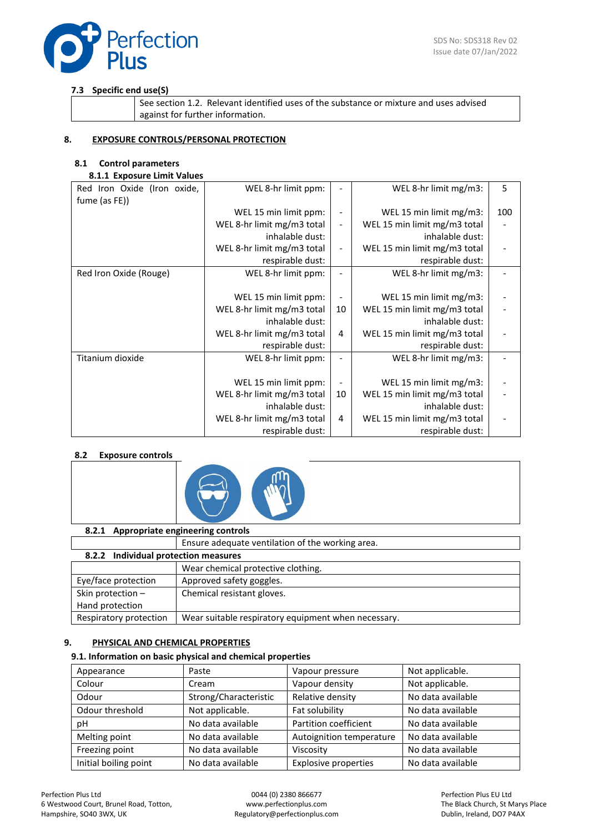

## **7.3 Specific end use(S)**

See section 1.2. Relevant identified uses of the substance or mixture and uses advised against for further information.

## **8. EXPOSURE CONTROLS/PERSONAL PROTECTION**

## **8.1 Control parameters**

## **8.1.1 Exposure Limit Values**

| Red Iron Oxide (Iron oxide, | WEL 8-hr limit ppm:        |                          | WEL 8-hr limit mg/m3:        | 5   |
|-----------------------------|----------------------------|--------------------------|------------------------------|-----|
| fume (as FE))               |                            |                          |                              |     |
|                             | WEL 15 min limit ppm:      |                          | WEL 15 min limit mg/m3:      | 100 |
|                             | WEL 8-hr limit mg/m3 total | $\overline{\phantom{a}}$ | WEL 15 min limit mg/m3 total |     |
|                             | inhalable dust:            |                          | inhalable dust:              |     |
|                             | WEL 8-hr limit mg/m3 total |                          | WEL 15 min limit mg/m3 total |     |
|                             | respirable dust:           |                          | respirable dust:             |     |
| Red Iron Oxide (Rouge)      | WEL 8-hr limit ppm:        |                          | WEL 8-hr limit mg/m3:        |     |
|                             |                            |                          |                              |     |
|                             | WEL 15 min limit ppm:      |                          | WEL 15 min limit mg/m3:      |     |
|                             | WEL 8-hr limit mg/m3 total | 10                       | WEL 15 min limit mg/m3 total |     |
|                             | inhalable dust:            |                          | inhalable dust:              |     |
|                             | WEL 8-hr limit mg/m3 total | 4                        | WEL 15 min limit mg/m3 total |     |
|                             | respirable dust:           |                          | respirable dust:             |     |
| Titanium dioxide            | WEL 8-hr limit ppm:        |                          | WEL 8-hr limit mg/m3:        |     |
|                             |                            |                          |                              |     |
|                             | WEL 15 min limit ppm:      |                          | WEL 15 min limit mg/m3:      |     |
|                             | WEL 8-hr limit mg/m3 total | 10                       | WEL 15 min limit mg/m3 total |     |
|                             | inhalable dust:            |                          | inhalable dust:              |     |
|                             | WEL 8-hr limit mg/m3 total | 4                        | WEL 15 min limit mg/m3 total |     |
|                             | respirable dust:           |                          | respirable dust:             |     |

#### **8.2 Exposure controls**



#### **8.2.1 Appropriate engineering controls**

#### Ensure adequate ventilation of the working area. **8.2.2 Individual protection measures**

|                        | 8.2.2 Individual protection measures                |  |  |  |  |
|------------------------|-----------------------------------------------------|--|--|--|--|
|                        | Wear chemical protective clothing.                  |  |  |  |  |
| Eye/face protection    | Approved safety goggles.                            |  |  |  |  |
| Skin protection $-$    | Chemical resistant gloves.                          |  |  |  |  |
| Hand protection        |                                                     |  |  |  |  |
| Respiratory protection | Wear suitable respiratory equipment when necessary. |  |  |  |  |

#### **9. PHYSICAL AND CHEMICAL PROPERTIES**

#### **9.1. Information on basic physical and chemical properties**

| Appearance            | Paste                 | Vapour pressure          | Not applicable.   |
|-----------------------|-----------------------|--------------------------|-------------------|
| Colour                | Cream                 | Vapour density           | Not applicable.   |
| Odour                 | Strong/Characteristic | Relative density         | No data available |
| Odour threshold       | Not applicable.       | Fat solubility           | No data available |
| рH                    | No data available     | Partition coefficient    | No data available |
| Melting point         | No data available     | Autoignition temperature | No data available |
| Freezing point        | No data available     | Viscosity                | No data available |
| Initial boiling point | No data available     | Explosive properties     | No data available |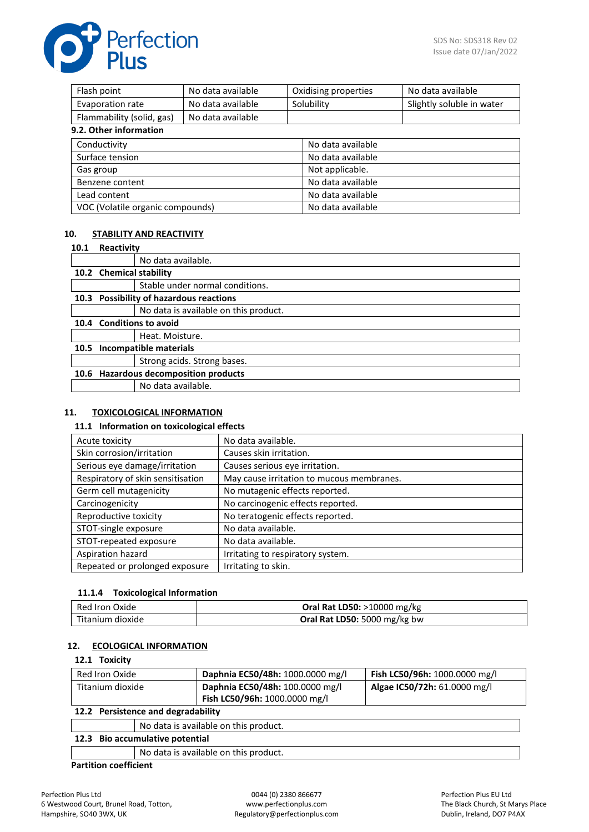

| No data available<br>Flash point      |                   |                   | Oxidising properties      | No data available |  |
|---------------------------------------|-------------------|-------------------|---------------------------|-------------------|--|
| Evaporation rate<br>No data available |                   | Solubility        | Slightly soluble in water |                   |  |
| Flammability (solid, gas)             | No data available |                   |                           |                   |  |
| 9.2. Other information                |                   |                   |                           |                   |  |
| Conductivity                          |                   |                   | No data available         |                   |  |
| Surface tension                       |                   |                   | No data available         |                   |  |
| Gas group                             |                   |                   | Not applicable.           |                   |  |
| Benzene content                       |                   |                   | No data available         |                   |  |
| Lead content                          |                   |                   | No data available         |                   |  |
| VOC (Volatile organic compounds)      |                   | No data available |                           |                   |  |

## **10. STABILITY AND REACTIVITY**

#### **10.1 Reactivity**

|      |                                  | No data available.                        |  |
|------|----------------------------------|-------------------------------------------|--|
|      | 10.2 Chemical stability          |                                           |  |
|      |                                  | Stable under normal conditions.           |  |
| 10.3 |                                  | <b>Possibility of hazardous reactions</b> |  |
|      |                                  | No data is available on this product.     |  |
|      | 10.4 Conditions to avoid         |                                           |  |
|      |                                  | Heat. Moisture.                           |  |
| 10.5 | Incompatible materials           |                                           |  |
|      |                                  | Strong acids. Strong bases.               |  |
| 10.6 | Hazardous decomposition products |                                           |  |
|      |                                  | No data available.                        |  |
|      |                                  |                                           |  |

#### **11. TOXICOLOGICAL INFORMATION**

#### **11.1 Information on toxicological effects**

| Acute toxicity                    | No data available.                        |
|-----------------------------------|-------------------------------------------|
| Skin corrosion/irritation         | Causes skin irritation.                   |
| Serious eye damage/irritation     | Causes serious eye irritation.            |
| Respiratory of skin sensitisation | May cause irritation to mucous membranes. |
| Germ cell mutagenicity            | No mutagenic effects reported.            |
| Carcinogenicity                   | No carcinogenic effects reported.         |
| Reproductive toxicity             | No teratogenic effects reported.          |
| STOT-single exposure              | No data available.                        |
| STOT-repeated exposure            | No data available.                        |
| Aspiration hazard                 | Irritating to respiratory system.         |
| Repeated or prolonged exposure    | Irritating to skin.                       |

## **11.1.4 Toxicological Information**

| Red Iron Oxide   | <b>Oral Rat LD50: &gt;10000 mg/kg</b> |
|------------------|---------------------------------------|
| Titanium dioxide | Oral Rat LD50: 5000 mg/kg bw          |

## **12. ECOLOGICAL INFORMATION**

#### **12.1 Toxicity**

| Red Iron Oxide                | Daphnia EC50/48h: 1000.0000 mg/l                                 | Fish LC50/96h: 1000.0000 mg/l |
|-------------------------------|------------------------------------------------------------------|-------------------------------|
| Titanium dioxide              | Daphnia EC50/48h: 100.0000 mg/l<br>Fish LC50/96h: 1000.0000 mg/l | Algae IC50/72h: 61.0000 mg/l  |
| Dersistence and degradability |                                                                  |                               |

| 12.2 Persistence and degradability    |  |  |
|---------------------------------------|--|--|
| No data is available on this product. |  |  |
| 12.3 Bio accumulative potential       |  |  |
| No data is available on this product. |  |  |
|                                       |  |  |

## **Partition coefficient**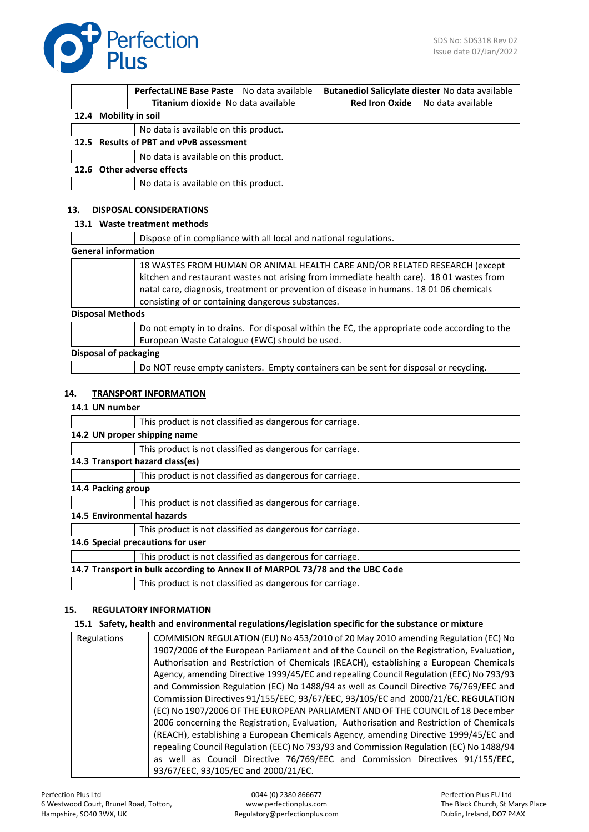

|  | PerfectaLINE Base Paste No data available | Butanediol Salicylate diester No data available |
|--|-------------------------------------------|-------------------------------------------------|
|  | Titanium dioxide No data available        | <b>Red Iron Oxide</b> No data available         |
|  | 12.4 Mobility in soil                     |                                                 |
|  | No data is available on this product.     |                                                 |
|  | 12.5 Results of PBT and vPvB assessment   |                                                 |
|  | No data is available on this product.     |                                                 |
|  | 12.6 Other adverse effects                |                                                 |
|  | No data is available on this product.     |                                                 |

## **13. DISPOSAL CONSIDERATIONS**

#### **13.1 Waste treatment methods**

|                            | Dispose of in compliance with all local and national regulations.                                                                                                                                                                                                                                                      |
|----------------------------|------------------------------------------------------------------------------------------------------------------------------------------------------------------------------------------------------------------------------------------------------------------------------------------------------------------------|
| <b>General information</b> |                                                                                                                                                                                                                                                                                                                        |
|                            | 18 WASTES FROM HUMAN OR ANIMAL HEALTH CARE AND/OR RELATED RESEARCH (except<br>kitchen and restaurant wastes not arising from immediate health care). 18 01 wastes from<br>natal care, diagnosis, treatment or prevention of disease in humans. 18 01 06 chemicals<br>consisting of or containing dangerous substances. |
| <b>Disposal Methods</b>    |                                                                                                                                                                                                                                                                                                                        |
|                            | Do not empty in to drains. For disposal within the EC, the appropriate code according to the<br>European Waste Catalogue (EWC) should be used.                                                                                                                                                                         |
| Disposal of packaging      |                                                                                                                                                                                                                                                                                                                        |

## Do NOT reuse empty canisters. Empty containers can be sent for disposal or recycling.

### **14. TRANSPORT INFORMATION**

#### **14.1 UN number**

|                            | This product is not classified as dangerous for carriage.                     |
|----------------------------|-------------------------------------------------------------------------------|
|                            | 14.2 UN proper shipping name                                                  |
|                            | This product is not classified as dangerous for carriage.                     |
|                            | 14.3 Transport hazard class(es)                                               |
|                            | This product is not classified as dangerous for carriage.                     |
| 14.4 Packing group         |                                                                               |
|                            | This product is not classified as dangerous for carriage.                     |
| 14.5 Environmental hazards |                                                                               |
|                            | This product is not classified as dangerous for carriage.                     |
|                            | 14.6 Special precautions for user                                             |
|                            | This product is not classified as dangerous for carriage.                     |
|                            | 14.7 Transport in bulk according to Annex II of MARPOL 73/78 and the UBC Code |
|                            | This product is not classified as dangerous for carriage.                     |

#### **15. REGULATORY INFORMATION**

#### **15.1 Safety, health and environmental regulations/legislation specific for the substance or mixture**

| Regulations | COMMISION REGULATION (EU) No 453/2010 of 20 May 2010 amending Regulation (EC) No         |
|-------------|------------------------------------------------------------------------------------------|
|             | 1907/2006 of the European Parliament and of the Council on the Registration, Evaluation, |
|             | Authorisation and Restriction of Chemicals (REACH), establishing a European Chemicals    |
|             | Agency, amending Directive 1999/45/EC and repealing Council Regulation (EEC) No 793/93   |
|             | and Commission Regulation (EC) No 1488/94 as well as Council Directive 76/769/EEC and    |
|             | Commission Directives 91/155/EEC, 93/67/EEC, 93/105/EC and 2000/21/EC. REGULATION        |
|             | (EC) No 1907/2006 OF THE EUROPEAN PARLIAMENT AND OF THE COUNCIL of 18 December           |
|             | 2006 concerning the Registration, Evaluation, Authorisation and Restriction of Chemicals |
|             | (REACH), establishing a European Chemicals Agency, amending Directive 1999/45/EC and     |
|             | repealing Council Regulation (EEC) No 793/93 and Commission Regulation (EC) No 1488/94   |
|             | as well as Council Directive 76/769/EEC and Commission Directives 91/155/EEC,            |
|             | 93/67/EEC, 93/105/EC and 2000/21/EC.                                                     |